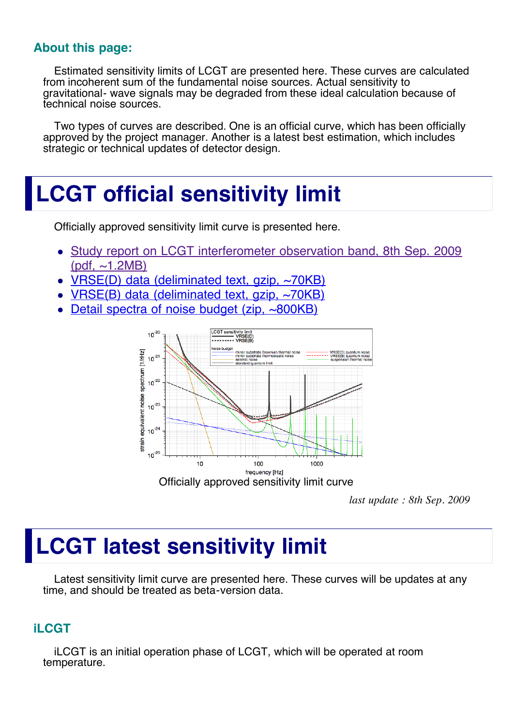### **About this page:**

Estimated sensitivity limits of LCGT are presented here. These curves are calculated from incoherent sum of the fundamental noise sources. Actual sensitivity to gravitational- wave signals may be degraded from these ideal calculation because of technical noise sources.

Two types of curves are described. One is an official curve, which has been officially approved by the project manager. Another is a latest best estimation, which includes strategic or technical updates of detector design.

## **LCGT official sensitivity limit**

Officially approved sensitivity limit curve is presented here.

- [Study report on LCGT interferometer observation band, 8th Sep. 2009](http://gw.icrr.u-tokyo.ac.jp/JGWwiki/LCGT/subgroup/ifo/BW?action=AttachFile&do=get&target=lcgt_bw09.pdf) (pdf,  $\sim$ 1.2MB)
- $VRSE(D)$  data (deliminated text, gzip,  $\sim$ 70KB)
- [VRSE\(B\) data \(deliminated text, gzip, ~70KB\)](file:///Users/miyakawa/Library/Mail%20Downloads/senslimit%202/BW2009_VRSED.txt.gz)
- [Detail spectra of noise budget \(zip, ~800KB\)](http://gwwiki.icrr.u-tokyo.ac.jp/JGWwiki/LCGT/subgroup/ifo/BW?action=AttachFile&do=get&target=LCGTnoise.zip)



*last update : 8th Sep. 2009*

# **LCGT latest sensitivity limit**

Latest sensitivity limit curve are presented here. These curves will be updates at any time, and should be treated as beta-version data.

### **iLCGT**

iLCGT is an initial operation phase of LCGT, which will be operated at room temperature.